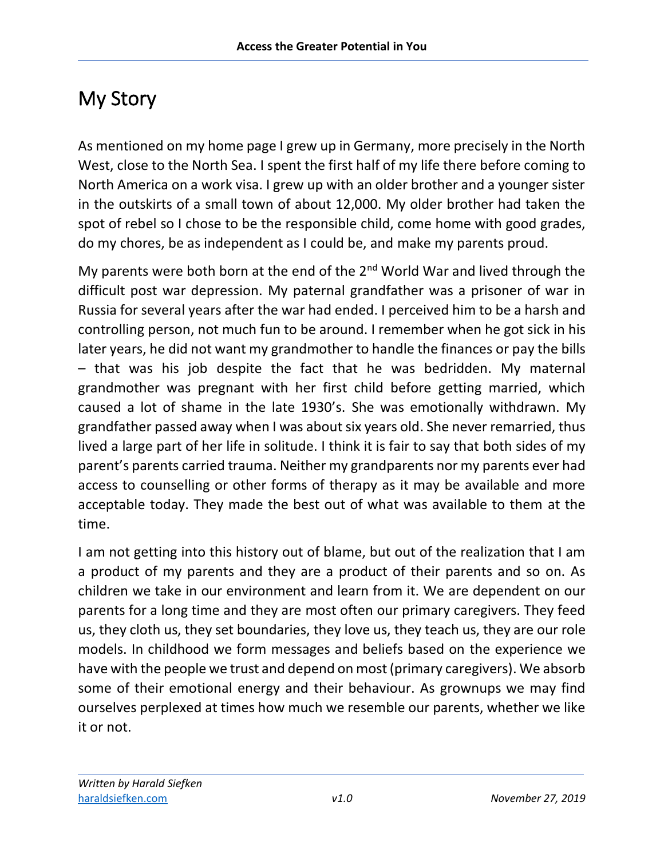## My Story

As mentioned on my home page I grew up in Germany, more precisely in the North West, close to the North Sea. I spent the first half of my life there before coming to North America on a work visa. I grew up with an older brother and a younger sister in the outskirts of a small town of about 12,000. My older brother had taken the spot of rebel so I chose to be the responsible child, come home with good grades, do my chores, be as independent as I could be, and make my parents proud.

My parents were both born at the end of the  $2^{nd}$  World War and lived through the difficult post war depression. My paternal grandfather was a prisoner of war in Russia for several years after the war had ended. I perceived him to be a harsh and controlling person, not much fun to be around. I remember when he got sick in his later years, he did not want my grandmother to handle the finances or pay the bills – that was his job despite the fact that he was bedridden. My maternal grandmother was pregnant with her first child before getting married, which caused a lot of shame in the late 1930's. She was emotionally withdrawn. My grandfather passed away when I was about six years old. She never remarried, thus lived a large part of her life in solitude. I think it is fair to say that both sides of my parent's parents carried trauma. Neither my grandparents nor my parents ever had access to counselling or other forms of therapy as it may be available and more acceptable today. They made the best out of what was available to them at the time.

I am not getting into this history out of blame, but out of the realization that I am a product of my parents and they are a product of their parents and so on. As children we take in our environment and learn from it. We are dependent on our parents for a long time and they are most often our primary caregivers. They feed us, they cloth us, they set boundaries, they love us, they teach us, they are our role models. In childhood we form messages and beliefs based on the experience we have with the people we trust and depend on most (primary caregivers). We absorb some of their emotional energy and their behaviour. As grownups we may find ourselves perplexed at times how much we resemble our parents, whether we like it or not.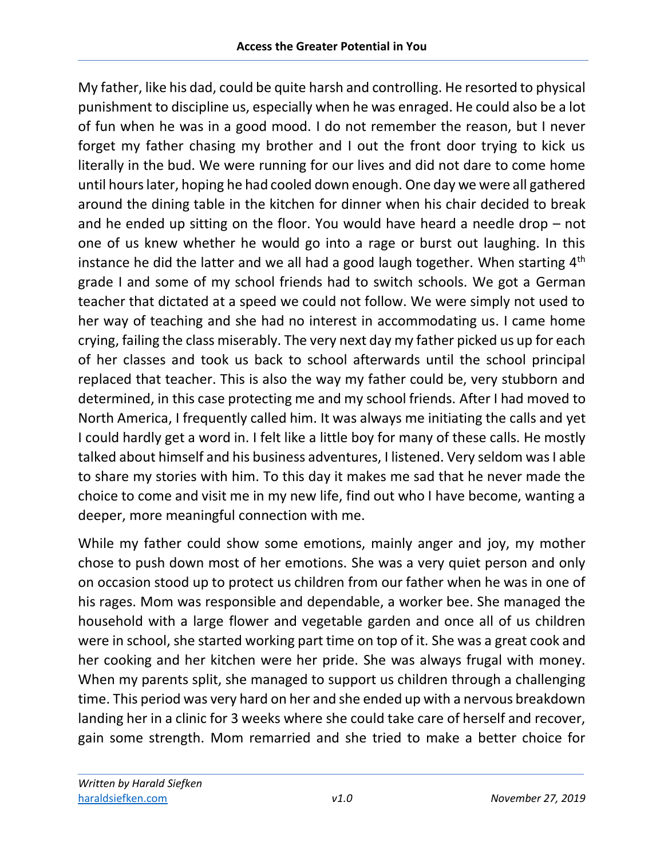My father, like his dad, could be quite harsh and controlling. He resorted to physical punishment to discipline us, especially when he was enraged. He could also be a lot of fun when he was in a good mood. I do not remember the reason, but I never forget my father chasing my brother and I out the front door trying to kick us literally in the bud. We were running for our lives and did not dare to come home until hours later, hoping he had cooled down enough. One day we were all gathered around the dining table in the kitchen for dinner when his chair decided to break and he ended up sitting on the floor. You would have heard a needle drop – not one of us knew whether he would go into a rage or burst out laughing. In this instance he did the latter and we all had a good laugh together. When starting 4<sup>th</sup> grade I and some of my school friends had to switch schools. We got a German teacher that dictated at a speed we could not follow. We were simply not used to her way of teaching and she had no interest in accommodating us. I came home crying, failing the class miserably. The very next day my father picked us up for each of her classes and took us back to school afterwards until the school principal replaced that teacher. This is also the way my father could be, very stubborn and determined, in this case protecting me and my school friends. After I had moved to North America, I frequently called him. It was always me initiating the calls and yet I could hardly get a word in. I felt like a little boy for many of these calls. He mostly talked about himself and his business adventures, I listened. Very seldom was I able to share my stories with him. To this day it makes me sad that he never made the choice to come and visit me in my new life, find out who I have become, wanting a deeper, more meaningful connection with me.

While my father could show some emotions, mainly anger and joy, my mother chose to push down most of her emotions. She was a very quiet person and only on occasion stood up to protect us children from our father when he was in one of his rages. Mom was responsible and dependable, a worker bee. She managed the household with a large flower and vegetable garden and once all of us children were in school, she started working part time on top of it. She was a great cook and her cooking and her kitchen were her pride. She was always frugal with money. When my parents split, she managed to support us children through a challenging time. This period was very hard on her and she ended up with a nervous breakdown landing her in a clinic for 3 weeks where she could take care of herself and recover, gain some strength. Mom remarried and she tried to make a better choice for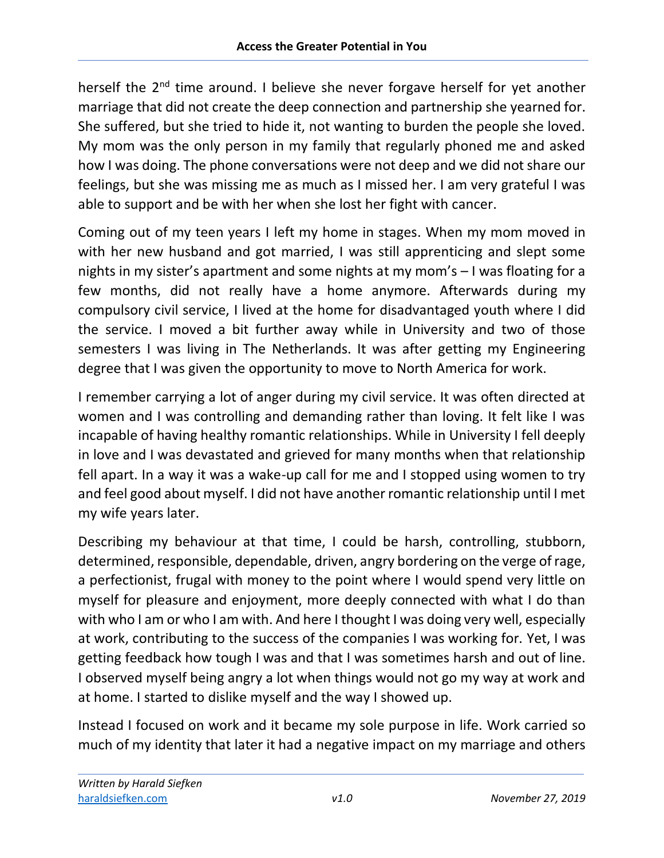herself the 2<sup>nd</sup> time around. I believe she never forgave herself for yet another marriage that did not create the deep connection and partnership she yearned for. She suffered, but she tried to hide it, not wanting to burden the people she loved. My mom was the only person in my family that regularly phoned me and asked how I was doing. The phone conversations were not deep and we did not share our feelings, but she was missing me as much as I missed her. I am very grateful I was able to support and be with her when she lost her fight with cancer.

Coming out of my teen years I left my home in stages. When my mom moved in with her new husband and got married, I was still apprenticing and slept some nights in my sister's apartment and some nights at my mom's – I was floating for a few months, did not really have a home anymore. Afterwards during my compulsory civil service, I lived at the home for disadvantaged youth where I did the service. I moved a bit further away while in University and two of those semesters I was living in The Netherlands. It was after getting my Engineering degree that I was given the opportunity to move to North America for work.

I remember carrying a lot of anger during my civil service. It was often directed at women and I was controlling and demanding rather than loving. It felt like I was incapable of having healthy romantic relationships. While in University I fell deeply in love and I was devastated and grieved for many months when that relationship fell apart. In a way it was a wake-up call for me and I stopped using women to try and feel good about myself. I did not have another romantic relationship until I met my wife years later.

Describing my behaviour at that time, I could be harsh, controlling, stubborn, determined, responsible, dependable, driven, angry bordering on the verge of rage, a perfectionist, frugal with money to the point where I would spend very little on myself for pleasure and enjoyment, more deeply connected with what I do than with who I am or who I am with. And here I thought I was doing very well, especially at work, contributing to the success of the companies I was working for. Yet, I was getting feedback how tough I was and that I was sometimes harsh and out of line. I observed myself being angry a lot when things would not go my way at work and at home. I started to dislike myself and the way I showed up.

Instead I focused on work and it became my sole purpose in life. Work carried so much of my identity that later it had a negative impact on my marriage and others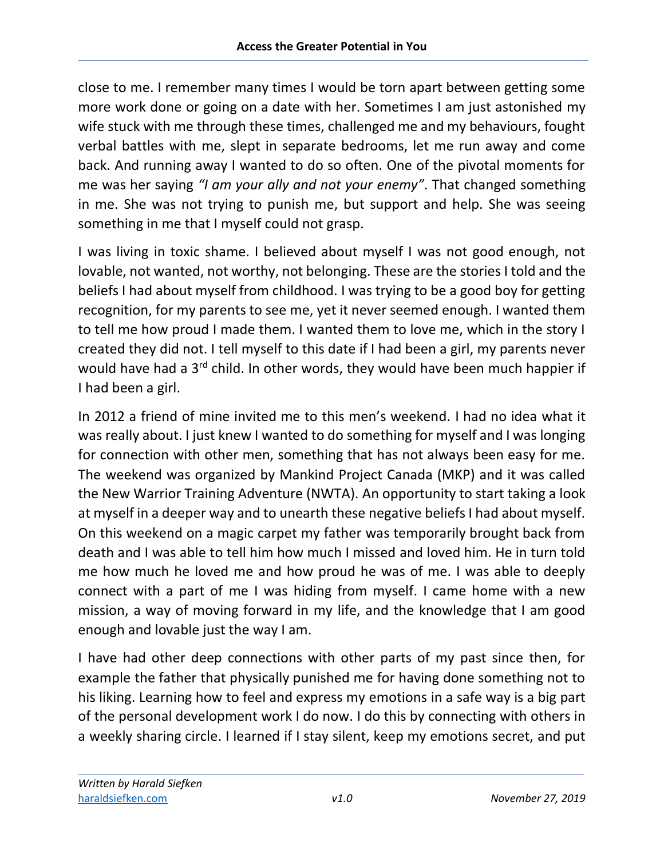close to me. I remember many times I would be torn apart between getting some more work done or going on a date with her. Sometimes I am just astonished my wife stuck with me through these times, challenged me and my behaviours, fought verbal battles with me, slept in separate bedrooms, let me run away and come back. And running away I wanted to do so often. One of the pivotal moments for me was her saying *"I am your ally and not your enemy"*. That changed something in me. She was not trying to punish me, but support and help. She was seeing something in me that I myself could not grasp.

I was living in toxic shame. I believed about myself I was not good enough, not lovable, not wanted, not worthy, not belonging. These are the stories I told and the beliefs I had about myself from childhood. I was trying to be a good boy for getting recognition, for my parents to see me, yet it never seemed enough. I wanted them to tell me how proud I made them. I wanted them to love me, which in the story I created they did not. I tell myself to this date if I had been a girl, my parents never would have had a 3<sup>rd</sup> child. In other words, they would have been much happier if I had been a girl.

In 2012 a friend of mine invited me to this men's weekend. I had no idea what it was really about. I just knew I wanted to do something for myself and I was longing for connection with other men, something that has not always been easy for me. The weekend was organized by Mankind Project Canada (MKP) and it was called the New Warrior Training Adventure (NWTA). An opportunity to start taking a look at myself in a deeper way and to unearth these negative beliefs I had about myself. On this weekend on a magic carpet my father was temporarily brought back from death and I was able to tell him how much I missed and loved him. He in turn told me how much he loved me and how proud he was of me. I was able to deeply connect with a part of me I was hiding from myself. I came home with a new mission, a way of moving forward in my life, and the knowledge that I am good enough and lovable just the way I am.

I have had other deep connections with other parts of my past since then, for example the father that physically punished me for having done something not to his liking. Learning how to feel and express my emotions in a safe way is a big part of the personal development work I do now. I do this by connecting with others in a weekly sharing circle. I learned if I stay silent, keep my emotions secret, and put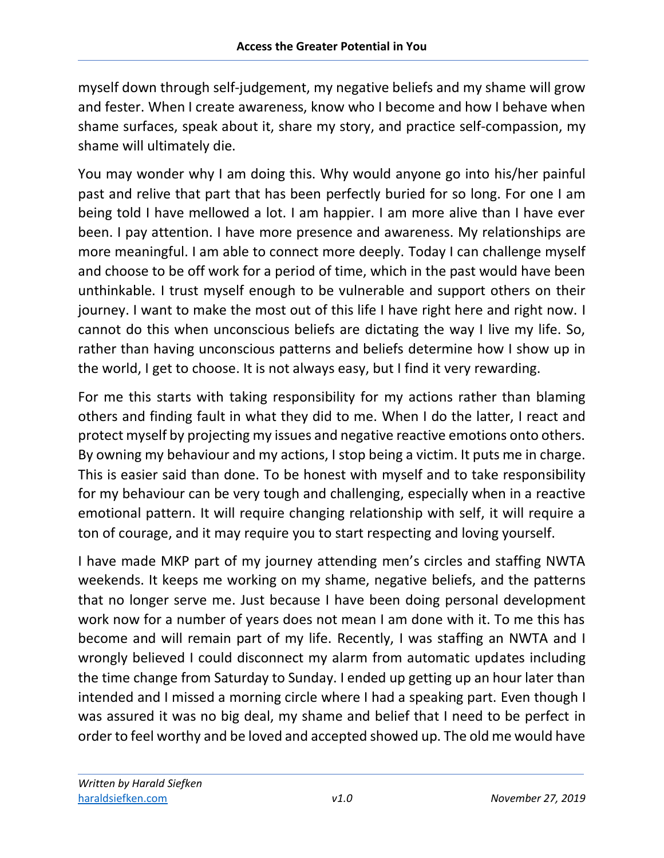myself down through self-judgement, my negative beliefs and my shame will grow and fester. When I create awareness, know who I become and how I behave when shame surfaces, speak about it, share my story, and practice self-compassion, my shame will ultimately die.

You may wonder why I am doing this. Why would anyone go into his/her painful past and relive that part that has been perfectly buried for so long. For one I am being told I have mellowed a lot. I am happier. I am more alive than I have ever been. I pay attention. I have more presence and awareness. My relationships are more meaningful. I am able to connect more deeply. Today I can challenge myself and choose to be off work for a period of time, which in the past would have been unthinkable. I trust myself enough to be vulnerable and support others on their journey. I want to make the most out of this life I have right here and right now. I cannot do this when unconscious beliefs are dictating the way I live my life. So, rather than having unconscious patterns and beliefs determine how I show up in the world, I get to choose. It is not always easy, but I find it very rewarding.

For me this starts with taking responsibility for my actions rather than blaming others and finding fault in what they did to me. When I do the latter, I react and protect myself by projecting my issues and negative reactive emotions onto others. By owning my behaviour and my actions, I stop being a victim. It puts me in charge. This is easier said than done. To be honest with myself and to take responsibility for my behaviour can be very tough and challenging, especially when in a reactive emotional pattern. It will require changing relationship with self, it will require a ton of courage, and it may require you to start respecting and loving yourself.

I have made MKP part of my journey attending men's circles and staffing NWTA weekends. It keeps me working on my shame, negative beliefs, and the patterns that no longer serve me. Just because I have been doing personal development work now for a number of years does not mean I am done with it. To me this has become and will remain part of my life. Recently, I was staffing an NWTA and I wrongly believed I could disconnect my alarm from automatic updates including the time change from Saturday to Sunday. I ended up getting up an hour later than intended and I missed a morning circle where I had a speaking part. Even though I was assured it was no big deal, my shame and belief that I need to be perfect in order to feel worthy and be loved and accepted showed up. The old me would have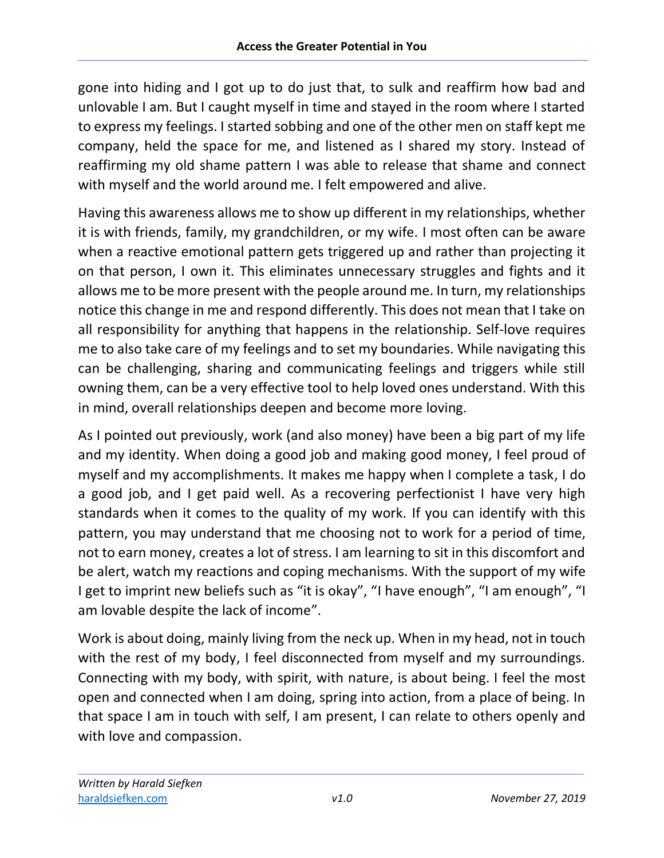gone into hiding and I got up to do just that, to sulk and reaffirm how bad and unlovable I am. But I caught myself in time and stayed in the room where I started to express my feelings. I started sobbing and one of the other men on staff kept me company, held the space for me, and listened as I shared my story. Instead of reaffirming my old shame pattern I was able to release that shame and connect with myself and the world around me. I felt empowered and alive.

Having this awareness allows me to show up different in my relationships, whether it is with friends, family, my grandchildren, or my wife. I most often can be aware when a reactive emotional pattern gets triggered up and rather than projecting it on that person, I own it. This eliminates unnecessary struggles and fights and it allows me to be more present with the people around me. In turn, my relationships notice this change in me and respond differently. This does not mean that I take on all responsibility for anything that happens in the relationship. Self-love requires me to also take care of my feelings and to set my boundaries. While navigating this can be challenging, sharing and communicating feelings and triggers while still owning them, can be a very effective tool to help loved ones understand. With this in mind, overall relationships deepen and become more loving.

As I pointed out previously, work (and also money) have been a big part of my life and my identity. When doing a good job and making good money, I feel proud of myself and my accomplishments. It makes me happy when I complete a task, I do a good job, and I get paid well. As a recovering perfectionist I have very high standards when it comes to the quality of my work. If you can identify with this pattern, you may understand that me choosing not to work for a period of time, not to earn money, creates a lot of stress. I am learning to sit in this discomfort and be alert, watch my reactions and coping mechanisms. With the support of my wife I get to imprint new beliefs such as "it is okay", "I have enough", "I am enough", "I am lovable despite the lack of income".

Work is about doing, mainly living from the neck up. When in my head, not in touch with the rest of my body, I feel disconnected from myself and my surroundings. Connecting with my body, with spirit, with nature, is about being. I feel the most open and connected when I am doing, spring into action, from a place of being. In that space I am in touch with self, I am present, I can relate to others openly and with love and compassion.